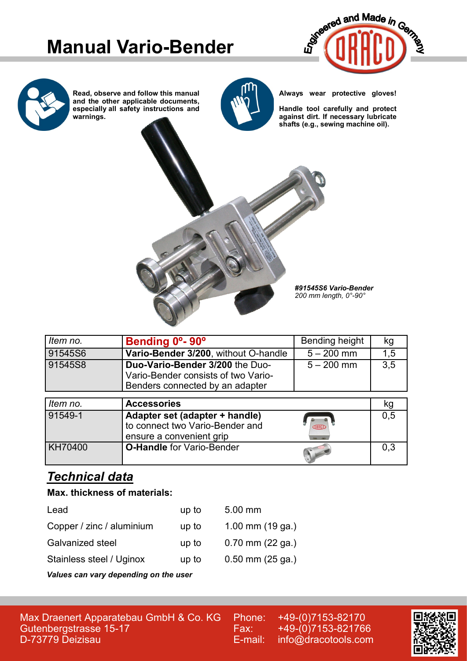# **Manual Vario-Bender**



**Read, observe and follow this manual and the other applicable documents, especially all safety instructions and warnings.**



**Always wear protective gloves!**

**Handle tool carefully and protect against dirt. If necessary lubricate shafts (e.g., sewing machine oil).**



| Item no. | Bending 0°-90°                                                                                            | Bending height | kg  |
|----------|-----------------------------------------------------------------------------------------------------------|----------------|-----|
| 91545S6  | Vario-Bender 3/200, without O-handle                                                                      | $5 - 200$ mm   | 1,5 |
| 91545S8  | Duo-Vario-Bender 3/200 the Duo-<br>Vario-Bender consists of two Vario-<br>Benders connected by an adapter | $5 - 200$ mm   | 3.5 |
| Item no. | <b>Accessories</b>                                                                                        |                | kg  |
| 91549-1  | Adapter set (adapter + handle)                                                                            |                | 0.5 |

| 1 JHJ-1 | $A$ uapitu sel (auapitu $\tau$ Handle)<br>I to connect two Vario-Bender and<br>ensure a convenient grip | <b>CIRACO</b> | ∪.∪ |
|---------|---------------------------------------------------------------------------------------------------------|---------------|-----|
| KH70400 | <b>O-Handle</b> for Vario-Bender                                                                        |               | 0,3 |

## *Technical data*

### **Max. thickness of materials:**

| Lead                                                           | up to | $5.00$ mm            |
|----------------------------------------------------------------|-------|----------------------|
| Copper / zinc / aluminium                                      | up to | 1.00 mm $(19$ ga.)   |
| <b>Galvanized steel</b>                                        | up to | $0.70$ mm $(22$ ga.) |
| Stainless steel / Uginox                                       | up to | $0.50$ mm $(25$ ga.) |
| A factor and a series are all and an effective and the series. |       |                      |

*Values can vary depending on the user*

Max Draenert Apparatebau GmbH & Co. KG Gutenbergstrasse 15-17 D-73779 Deizisau

Phone: +49-(0)7153-82170 Fax: +49-(0)7153-821766 E-mail: info@dracotools.com

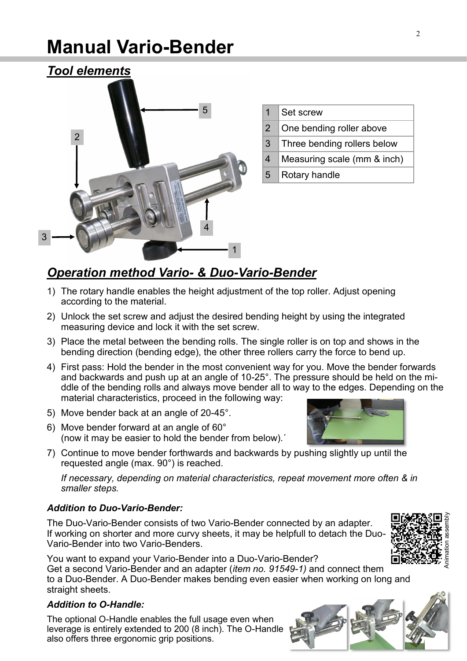# **Manual Vario-Bender**



| $\mathbf 1$ | Set screw                   |
|-------------|-----------------------------|
| 2           | One bending roller above    |
| 3           | Three bending rollers below |
| 4           | Measuring scale (mm & inch) |
| $5^{\circ}$ | Rotary handle               |
|             |                             |

## *Operation method Vario- & Duo-Vario-Bender*

- 1) The rotary handle enables the height adjustment of the top roller. Adjust opening according to the material.
- 2) Unlock the set screw and adjust the desired bending height by using the integrated measuring device and lock it with the set screw.
- 3) Place the metal between the bending rolls. The single roller is on top and shows in the bending direction (bending edge), the other three rollers carry the force to bend up.
- 4) First pass: Hold the bender in the most convenient way for you. Move the bender forwards and backwards and push up at an angle of 10-25°. The pressure should be held on the middle of the bending rolls and always move bender all to way to the edges. Depending on the material characteristics, proceed in the following way:
- 5) Move bender back at an angle of 20-45°.
- 6) Move bender forward at an angle of 60° (now it may be easier to hold the bender from below).´
- 7) Continue to move bender forthwards and backwards by pushing slightly up until the requested angle (max. 90°) is reached.

*If necessary, depending on material characteristics, repeat movement more often & in smaller steps.*

#### *Addition to Duo-Vario-Bender:*

The Duo-Vario-Bender consists of two Vario-Bender connected by an adapter. If working on shorter and more curvy sheets, it may be helpfull to detach the Duo-Vario-Bender into two Vario-Benders.

You want to expand your Vario-Bender into a Duo-Vario-Bender? Get a second Vario-Bender and an adapter (*item no. 91549-1)* and connect them to a Duo-Bender. A Duo-Bender makes bending even easier when working on long and straight sheets.

#### *Addition to O-Handle:*

The optional O-Handle enables the full usage even when leverage is entirely extended to 200 (8 inch). The O-Handle also offers three ergonomic grip positions.